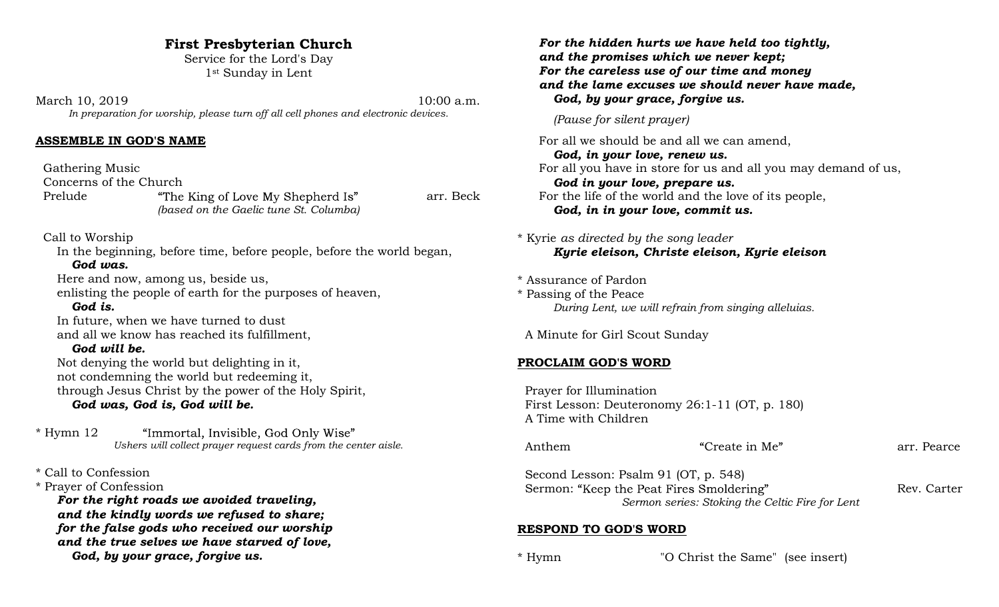## **First Presbyterian Church**

Service for the Lord's Day 1st Sunday in Lent

March 10, 2019 10:00 a.m. *In preparation for worship, please turn off all cell phones and electronic devices.* 

#### **ASSEMBLE IN GOD'S NAME**

| Gathering Music        |                                        |           |
|------------------------|----------------------------------------|-----------|
| Concerns of the Church |                                        |           |
| Prelude                | "The King of Love My Shepherd Is"      | arr. Beck |
|                        | (based on the Gaelic tune St. Columba) |           |

Call to Worship

In the beginning, before time, before people, before the world began,

## *God was.*

Here and now, among us, beside us,

enlisting the people of earth for the purposes of heaven, *God is.* 

In future, when we have turned to dust and all we know has reached its fulfillment,

## *God will be.*

Not denying the world but delighting in it, not condemning the world but redeeming it, through Jesus Christ by the power of the Holy Spirit, *God was, God is, God will be.* 

\* Hymn 12 "Immortal, Invisible, God Only Wise" *Ushers will collect prayer request cards from the center aisle.* 

\* Call to Confession

\* Prayer of Confession

*For the right roads we avoided traveling, and the kindly words we refused to share; for the false gods who received our worship and the true selves we have starved of love, God, by your grace, forgive us.* 

*For the hidden hurts we have held too tightly, and the promises which we never kept; For the careless use of our time and money and the lame excuses we should never have made, God, by your grace, forgive us.* 

*(Pause for silent prayer)* 

For all we should be and all we can amend, *God, in your love, renew us.*  For all you have in store for us and all you may demand of us,  *God in your love, prepare us.*  For the life of the world and the love of its people,  *God, in in your love, commit us.* 

\* Kyrie *as directed by the song leader Kyrie eleison, Christe eleison, Kyrie eleison* 

- \* Assurance of Pardon
- \* Passing of the Peace *During Lent, we will refrain from singing alleluias.*

A Minute for Girl Scout Sunday

# **PROCLAIM GOD'S WORD**

 Prayer for Illumination First Lesson: Deuteronomy 26:1-11 (OT, p. 180) A Time with Children

| Anthem                                                                                                                              | "Create in Me" | arr. Pearce |
|-------------------------------------------------------------------------------------------------------------------------------------|----------------|-------------|
| Second Lesson: Psalm 91 (OT, p. 548)<br>Sermon: "Keep the Peat Fires Smoldering"<br>Sermon series: Stoking the Celtic Fire for Lent | Rev. Carter    |             |

# **RESPOND TO GOD'S WORD**

\* Hymn "O Christ the Same" (see insert)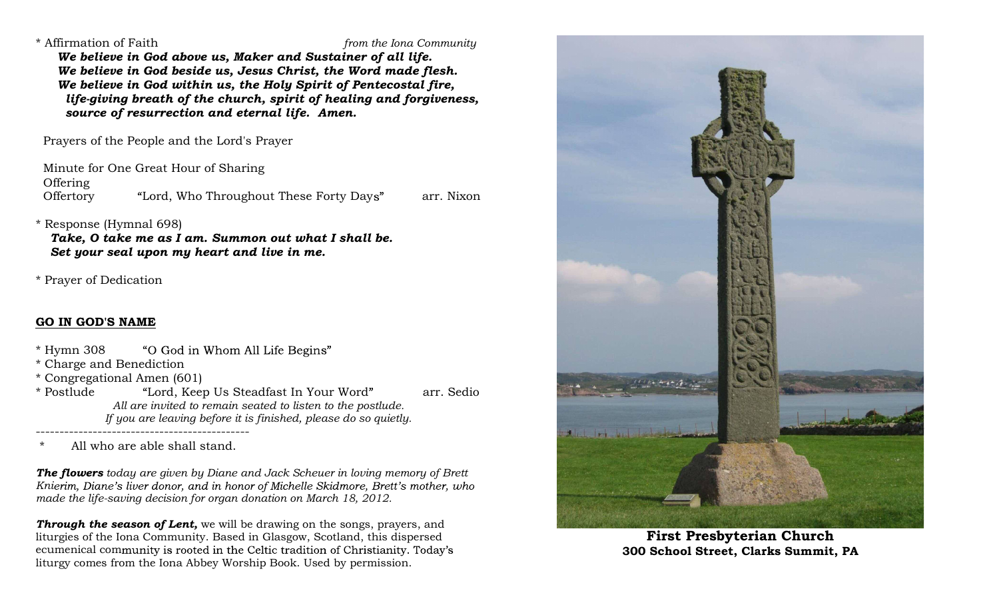\* Affirmation of Faith *from the Iona Community*

*We believe in God above us, Maker and Sustainer of all life. We believe in God beside us, Jesus Christ, the Word made flesh. We believe in God within us, the Holy Spirit of Pentecostal fire, life-giving breath of the church, spirit of healing and forgiveness, source of resurrection and eternal life. Amen.* 

Prayers of the People and the Lord's Prayer

 Minute for One Great Hour of Sharing **Offering** Offertory "Lord, Who Throughout These Forty Days" arr. Nixon

\* Response (Hymnal 698)

*Take, O take me as I am. Summon out what I shall be. Set your seal upon my heart and live in me.* 

\* Prayer of Dedication

# **GO IN GOD'S NAME**

- \* Hymn 308 "O God in Whom All Life Begins"
- \* Charge and Benediction
- \* Congregational Amen (601)

\* Postlude "Lord, Keep Us Steadfast In Your Word" arr. Sedio *All are invited to remain seated to listen to the postlude. If you are leaving before it is finished, please do so quietly.* ---------------------------------------------

All who are able shall stand.

*The flowers today are given by Diane and Jack Scheuer in loving memory of Brett*  Knierim, Diane's liver donor, and in honor of Michelle Skidmore, Brett's mother, who *made the life-saving decision for organ donation on March 18, 2012.* 

*Through the season of Lent,* we will be drawing on the songs, prayers, and liturgies of the Iona Community. Based in Glasgow, Scotland, this dispersed ecumenical community is rooted in the Celtic tradition of Christianity. Today's liturgy comes from the Iona Abbey Worship Book. Used by permission.



**First Presbyterian Church 300 School Street, Clarks Summit, PA**